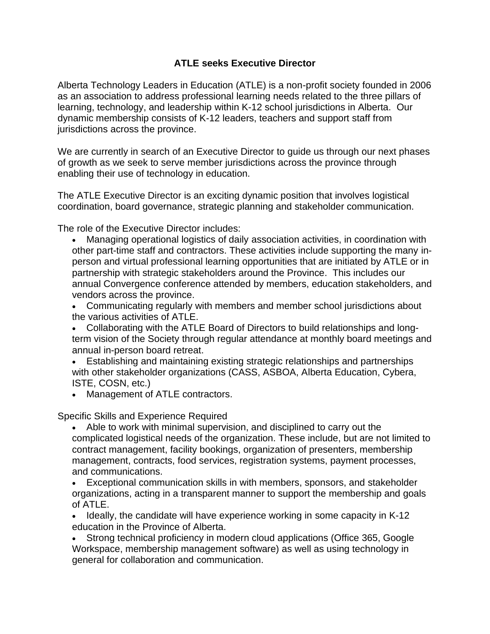## **ATLE seeks Executive Director**

Alberta Technology Leaders in Education (ATLE) is a non-profit society founded in 2006 as an association to address professional learning needs related to the three pillars of learning, technology, and leadership within K-12 school jurisdictions in Alberta. Our dynamic membership consists of K-12 leaders, teachers and support staff from jurisdictions across the province.

We are currently in search of an Executive Director to guide us through our next phases of growth as we seek to serve member jurisdictions across the province through enabling their use of technology in education.

The ATLE Executive Director is an exciting dynamic position that involves logistical coordination, board governance, strategic planning and stakeholder communication.

The role of the Executive Director includes:

• Managing operational logistics of daily association activities, in coordination with other part-time staff and contractors. These activities include supporting the many inperson and virtual professional learning opportunities that are initiated by ATLE or in partnership with strategic stakeholders around the Province. This includes our annual Convergence conference attended by members, education stakeholders, and vendors across the province.

• Communicating regularly with members and member school jurisdictions about the various activities of ATLE.

• Collaborating with the ATLE Board of Directors to build relationships and longterm vision of the Society through regular attendance at monthly board meetings and annual in-person board retreat.

• Establishing and maintaining existing strategic relationships and partnerships with other stakeholder organizations (CASS, ASBOA, Alberta Education, Cybera, ISTE, COSN, etc.)

• Management of ATLE contractors.

Specific Skills and Experience Required

• Able to work with minimal supervision, and disciplined to carry out the complicated logistical needs of the organization. These include, but are not limited to contract management, facility bookings, organization of presenters, membership management, contracts, food services, registration systems, payment processes, and communications.

• Exceptional communication skills in with members, sponsors, and stakeholder organizations, acting in a transparent manner to support the membership and goals of ATLE.

• Ideally, the candidate will have experience working in some capacity in K-12 education in the Province of Alberta.

• Strong technical proficiency in modern cloud applications (Office 365, Google Workspace, membership management software) as well as using technology in general for collaboration and communication.